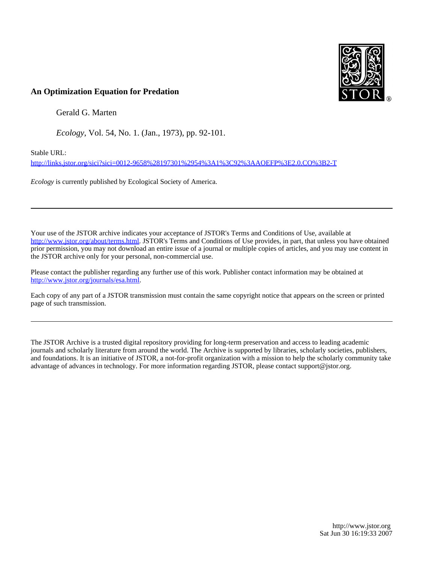

# **An Optimization Equation for Predation**

Gerald G. Marten

*Ecology*, Vol. 54, No. 1. (Jan., 1973), pp. 92-101.

Stable URL:

<http://links.jstor.org/sici?sici=0012-9658%28197301%2954%3A1%3C92%3AAOEFP%3E2.0.CO%3B2-T>

*Ecology* is currently published by Ecological Society of America.

Your use of the JSTOR archive indicates your acceptance of JSTOR's Terms and Conditions of Use, available at [http://www.jstor.org/about/terms.html.](http://www.jstor.org/about/terms.html) JSTOR's Terms and Conditions of Use provides, in part, that unless you have obtained prior permission, you may not download an entire issue of a journal or multiple copies of articles, and you may use content in the JSTOR archive only for your personal, non-commercial use.

Please contact the publisher regarding any further use of this work. Publisher contact information may be obtained at <http://www.jstor.org/journals/esa.html>.

Each copy of any part of a JSTOR transmission must contain the same copyright notice that appears on the screen or printed page of such transmission.

The JSTOR Archive is a trusted digital repository providing for long-term preservation and access to leading academic journals and scholarly literature from around the world. The Archive is supported by libraries, scholarly societies, publishers, and foundations. It is an initiative of JSTOR, a not-for-profit organization with a mission to help the scholarly community take advantage of advances in technology. For more information regarding JSTOR, please contact support@jstor.org.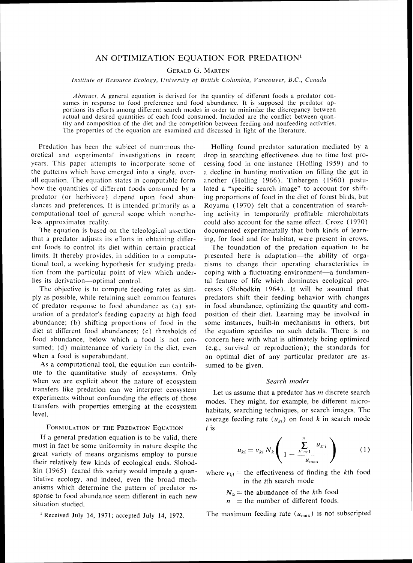# AN OPTIMIZATION EOUATION FOR PREDATION<sup>1</sup>

*GERALDG. MARTEN* 

*Institute of Resource Ecology, University of British Columbia, Vancouver, B.C., Canada* 

*Abstract.* A general equation is derived for the quantity of different foods a predator con-<br>sumes in response to food preference and food abundance. It is supposed the predator apportions its efforts among different search modes in order to minimize the discrepancy between actual and desired quantities of each food consumed. Included are the conflict between quantity and composition of the diet and the competition between feeding and nonfeeding activities. The properties of the equation are examined and discussed in light of the literature.

Predation has been the subject of numerous theoretical and experimental investigations in recent years. This papcr attempts to incorporate some of the patterns which have emerged into a single, overall equation. The equation states in computable form how the quantities of different foods consumed by a predator (or herbivore) depend upon food abundances and preferences. It is intended primarily as a computational tool of general scope which nonetheless approximates reality.

The equation is based on the teleological assertion that a predator adjusts its efforts in obtaining different foods to control its diet within certain practical limits. It thereby provides, in addition to a computational tool, a working hypothesis fcr studying predation from the particular point of view which underlies its derivation---optimal control.

The objective is to compute feeding rates as simply as possible, while retaining such common features of predator response to food abundance as (a) saturation of a predator's feeding capacity at high food abundance: (b) shifting proportions of food in the diet at different food abundances: (c) thresholds of food abundance. below which a food is not consumed; (d) maintenance of variety in the diet, even when a food is superabundant.

As a computational tool, the equation can contribute to the quantitative study of ecosystems. Only when we are explicit about the nature of ecosystem transfers like predation can we interpret ecosystem experiments without confounding the effects of those transfers with properties emerging at the ecosystem level.

#### FORMULATION OF THE PREDATION EQUATION

If a general predation equation is to be valid, there must in fact be some uniformity in nature despite the great variety of means organisms employ to pursue their relatively few kinds of ecological ends. Slobodkin (1965) feared this variety would impede a quantitative ecology, and indeed, even the broad mechanisms which determine the pattern of predator respanse to food abundance seem different in each new situation studied.

<sup>1</sup> Received July 14, 1971; accepted July 14, 1972.

Holling found predator saturation mediated by a drop in searching effectiveness due to time lost processing food in one instance (Holling 1959) and to a decline in hunting motivation on filling the gut in another (Holling 1966). Tinbergen (1960) postulated a "specific search image" to account for shifting proportions of food in the diet of forest birds. but Royama (1970) felt that a concentration of searching activity in temporarily profitable microhabitats could also account for the same effect. Croze (1970) documented experimentally that both kinds of learning, for food and for habitat. were present in crows.

The foundation of the predation equation to be presented here is adaptation—the ability of organisms to change their operating characteristics in coping with a fluctuating environment-a fundamental feature of life which dominates ecological processes (Slobodkin 1964). It will be assumed that predators shift their feeding behavior with changes in food abundance, optimizing the quantity and composition of their diet. Learning may be involved in some instances, built-in mechanisms in others, but the equation specifies no such details. There is no concern here with what is ultimately being optimized (e.g., survival or reproduction); the standards for an optimal diet of any particular predator are assumed to be given.

#### Search modes

Let us assume that a predator has  $m$  discrete search modes. They might, for example, be different microhabitats, searching techniques, or search images. The average feeding rate  $(u_{ki})$  on food k in search mode i is

$$
u_{ki} = v_{ki} N_k \left( 1 - \frac{\sum_{k'=1}^{n} u_{k'i}}{u_{\text{max}}} \right) \qquad (1)
$$

where  $v_{ki}$  = the effectiveness of finding the kth food in the ith search mode

 $N_k$  = the abundance of the kth food

 $n =$  the number of different foods.

The maximum feeding rate  $(u_{\text{max}})$  is not subscripted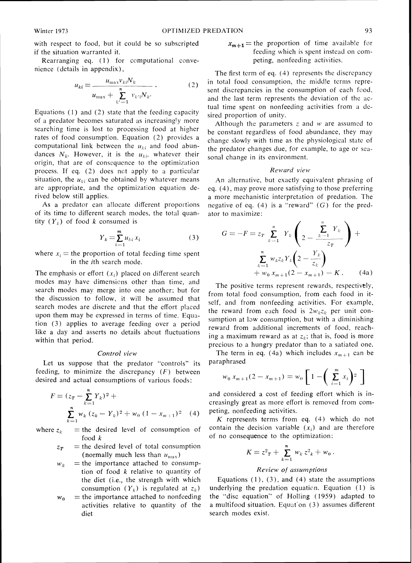with respect to food, but it could be so subscripted if the situation warranted it.

Rearranging eq.  $(1)$  for computational convenience (details in appendix).

$$
u_{ki} = \frac{u_{\max} v_{ki} N_k}{u_{\max} + \sum_{k'=1}^{n} v_{k'i} N_{k'}}.
$$
 (2)

Equations (1) and (2) state that the feeding capacity of a predator becomes saturated as increasingly more searching time is lost to processing food at higher rates of food consumption. Equation (2) provides a computational link between the  $u_{ki}$  and food abundances  $N_k$ . However, it is the  $u_{ki}$ , whatever their origin, that are of consequence to the optimization process. If eq. (2) does nct apply to a particular situation, the  $u_{ki}$  can be obtained by whatever means are appropriate, and the optimization equation derived below still applies.

As a predator can allocate different proportions of its time to different search modes, the total quantity  $(Y_k)$  of food k consumed is

$$
Y_k = \sum_{i=1}^{m} u_{ki} x_i \tag{3}
$$

where  $x_i$  = the proportion of total feeding time spent in the ith search mode.

The emphasis or effort  $(x_i)$  placed on different search modes may have dimensicns other than time, and search modes may merge into one another; but for the discussion to follow, it will be assumed that search modes are discrete and that the effort placed upon them may be expressed in terms of time. Equation (3) applies to average feeding over a period like a day and asserts no details about fluctuations within that period.

## Control view

Let us suppose that the predator "controls" its feeding, to minimize the discrepancy  $(F)$  between desired and actual consumptions of various foods:

$$
F = (z_T - \sum_{k=1}^{n} Y_k)^2 + \sum_{k=1}^{n} w_k (z_k - Y_k)^2 + w_0 (1 - x_{m+1})^2
$$
 (4)

where  $z_k$  = the desired level of consumption of food k

- $z_T$  = the desired level of total consumption (normally much less than  $u_{\text{max}}$ )
- $w_k$  = the importance attached to consumption of food  $k$  relative to quantity of the diet (i.e., the strength with which consumption  $(Y_k)$  is regulated at  $z_k$ )
- $w_0$  = the importance attached to nonfeeding activities relative to quantity of the diet

 $x_{m+1}$  = the proportion of time available for feeding which is spent instead on competing. nonfeeding activities.

The first term of eq. (4) represents the discrepancy in total food consumption, the middle terms represent discrepancies in the consumption of each food, and the last term represents the deviation of the actual time spent on nonfeeding activities from a desired proportion of unity.

Although the parameters  $z$  and  $w$  are assumed to be constant regardless of food abundance. they may change slowly with time as the physiological state of the predator changes due, for example, to age or seasonal change in its environment.

## Reward view

An alternative. but exactly equivalent phrasing of eq. (4),may prove more satisfying to those preferring a more mechanistic interpretation of predation. The negative of eq. (4) is a "reward" *(G)* for the predator to maximize:

$$
G = -F = z_T \sum_{k=1}^{n} Y_k \left( 2 - \frac{\sum_{k=1}^{n} Y_k}{z_T} \right) + \frac{\sum_{k=1}^{n} w_k z_k Y_k \left( 2 - \frac{Y_k}{z_k} \right)}{+ w_0 x_{m+1} (2 - x_{m+1}) - K}.
$$
 (4a)

precious to a hungry predator than to a satiated one. The positive terms represent rewards, respectively, from total food consumption, from each food in itself, and from nonfeeding activities. For example, the reward from each food is  $2w_k z_k$  per unit consumption at low consumption, but with a diminishing reward from additional increments of food. reaching a maximum reward as at  $z_k$ ; that is, food is more

The term in eq. (4a) which includes  $x_{m+1}$  can be paraphrased

$$
w_0 x_{m+1} (2 - x_{m+1}) = w_0 \left[ 1 - \left( \sum_{i=1}^{m} x_i \right)^2 \right]
$$

and considered a cost of feeding effort which is increasingly great as more effort is removed from competing. nonfeeding activities.

 $K$  represents terms from eq.  $(4)$  which do not contain the decision variable  $(x_i)$  and are therefore of no consequence to the optimization:

$$
K = z^2 r + \sum_{k=1}^n w_k z^2 k + w_0.
$$

# Review of assumptions

Equations  $(1)$ ,  $(3)$ , and  $(4)$  state the assumptions underlying the predation equation. Equation  $(1)$  is the "disc equation" of Holling (1959) adapted to a multifood situation. Equat on  $(3)$  assumes different search modes exist.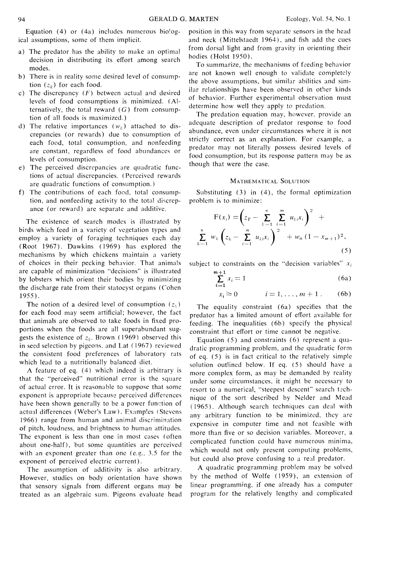Equation (4) or (4a) includes numerous biological assumptions, some of them implicit.

- a) The predator has the ability to make an optimal decision in distributing its effort among search modes.
- b) There is in reality some desired level of consumption  $(z_k)$  for each food.
- c) The discrepancy  $(F)$  between actual and desired levels of food consumptions is minimized. (AIternatively, the total reward  $(G)$  from consumption of all foods is maximized.)
- d) The relative importances  $(w_k)$  attached to discrepancies (or rewards) due to consumption of each food, total consumption, and nonfeeding are constant, regardless of food abundances or levels of consumption.
- e) The perceived discrepancies are quadratic functions of actual discrepancies. (Perceived rewards are quadratic functions of consumption.)
- f) The contributions of each food, total consumption, and nonfeeding activity to the total discrepance (or reward) are separate and additive.

The existence of search modes is illustrated by birds which feed in a variety of vegetation types and employ a variety of foraging techniques each day (Root 1967). Dawkins ( 1969) has explored the mechanisms by which chickens maintain a variety of choices in their pecking behavior. That animals are capable of minimization "decisions" is illustrated by lobsters which orient their bodies by minimizing the discharge rate from their statocyst organs (Cohen 1955).

The notion of a desired level of consumption  $(z_i)$ for each food may seem artificial: however, the fact that animals are observed to take foods in fixed proportions when the foods are all superabundant suggests the existence of  $z_k$ . Brown (1969) observed this in seed selection by pigeons, and Lat (1967) reviewed the consistent food preferences of laboratory rats which lead to a nutritionally balanced diet.

A feature of eq. (4) which indeed is arbitrary is that the "perceived" nutritional error is the square of actual error. It is reasonable to suppose that some exponent is appropriate because perceived differences have been shown generally to be a power function of actual differences (Weber's Law). Examples (Stevens 1966) range from human and animal discrimination of pitch. loudness. and brightness to human attitudes. The exponent is less than one in most cases (often about one-half), but some quantities are perceived with an exponent greater than one (e.9.. **1.5** for the exponent of perceived electric current).

The assumption of additivity is also arbitrary. However, studies on body orientation have shown that sensory signals from different organs may be treated as an algebraic sum. Pigeons evaluate head

position in this way from separate sensors in the head and neck (Mittelstaedt 1964). and fish add the cues from dorsal light and from gravity in orienting their bodies (Holst 1950).

To summarize. the mechanisms of feeding behavior are not known well enough to validate completely the above assumptions, but similar ahilitics and similar relationships have been observed in other kinds of behavior. Further experimental observation must determine how well they apply to predation.

The predation equation may, however. provide an adequate description of predator response to food abundance, even under circumstances where it is not strictly correct as an explanation. For example, a predator may not literally possess desired levels of food consumption, but its response pattern may be as though that were the case.

## MATHEMATICAL SOLUTION

Substituting (3) in (4). the formal optimization problem is to minimize:

$$
\mathbf{F}(x_i) = \left(z_T - \sum_{k=1}^n \sum_{i=1}^m u_{ki} x_i\right)^2 + \sum_{k=1}^n w_k \left(z_k - \sum_{i=1}^m u_{ki} x_i\right)^2 + w_0 (1 - x_{m+1})^2,
$$
\n(5)

subject to constraints on the "decision variables"  $x_i$ 

$$
\sum_{i=1}^{m+1} x_i = 1 \tag{6a}
$$

$$
x_i \ge 0 \qquad i = 1, \ldots, m+1 \qquad (6b)
$$

The equality constraint (6a) specifies that the predator has a limited amount of effort available for feeding. The inequalities (6b) specify the physical constraint that effort or time cannot be negative.

Equation  $(5)$  and constraints  $(6)$  represent a quadratic programming problem, and the quadratic form of eq.  $(5)$  is in fact critical to the relatively simple solution outlined below. If eq. (5) should have a more complex form. as may be demanded by reality under some circumstances, it might be necessary to resort to a numerical, "steepest descent" search technique of the sort described by Nelder and Mead ( 1965). Although search techniques can deal with any arbitrary function to be minimized, they are expensive in computer time and not feasible with more than five or so decision variables. Moreover, a complicated function could have numerous minima. which would not only present computing problems, but could also prove confusing to a real predator.

A quadratic programming problem may be solved by the method of Wolfe (1959). an extension of linear programming, if one already has a computer program for the relatively lengthy and complicated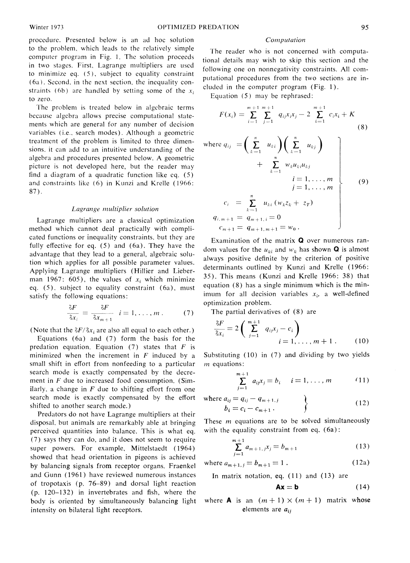procedure. Presented below is an ad hoc solution to the problem, which leads to the relatively simple computer program in Fig. I. The solution proceeds in two stages. First, Lagrange multipliers are used to minimize eq. *( 5* ), subject to equality constraint  $(6a)$ . Second, in the next section, the inequality constraints (6b) are handled by setting some of the  $x_i$ to zero.

The problem is treated below in algebraic terms because algebra allows precise computational statements which are general for any number of decision variables (i.e., search modes). Although a geometric treatment of the problem is limited to three dimensions, it can add to an intuitive understanding of the algebra and procedures presented below. A geometric picture is not developed here. but the reader may find a diagram of a quadratic function like eq.  $(5)$ and constraints like  $(6)$  in Kunzi and Krelle (1966: 87).

#### Lagrange multiplier solution

Lagrange multipliers are a classical optimization method which cannot deal practically with complicated functions or inequality constraints. but they are fully effective for eq. (5) and (6a). They have the advantage that they lead to a general. algebraic solution which applies for all possible parameter values. Applying Lagrange multipliers (Hillier and Lieberman 1967: 605), the values of  $x_i$  which minimize eq.  $(5)$ , subject to equality constraint  $(6a)$ , must satisfy the following equations:

$$
\frac{\delta F}{\delta x_i} = \frac{\delta F}{\delta x_{m+1}} \quad i = 1, \dots, m \,.
$$
 (7)

(Note that the  $\delta F/\delta x_i$  are also all equal to each other.)

Equations (6a) and (7) form the basis for the predation equation. Equation (7) states that *F* is minimized when the increment in *F* induced by a small shift in effort from nonfeeding to a particular search mode is exactly compensated by the decrement in *F* due to increased food consumption. (Similarly, a change in  $F$  due to shifting effort from one search mode is exactly compensated by the effort shifted to another search mode.)

Predators do not have Lagrange multipliers at their disposal. but animals are remarkably able at bringing perceived quantities into balance. This is what eq. (7) says they can do. and it does not seem to require super powers. For example. Mittelstaedt (1964) showed that head orientation in pigeons is achieved by balancing signals from receptor organs. Fraenkel and Gunn ( 1961) have reviewed numerous instances of tropotaxis (p.  $76-89$ ) and dorsal light reaction (p. 120-132) in invertebrates and fish. where the body is oriented by simultaneously balancing light intensity on bilateral light receptors.

#### *Computation*

The reader who is not concerned with computational details may wish to skip this section and the following one on nonnegativity constraints. All computational procedures from the two sections are included in the computer program (Fig. 1).

Equation (5) may be rephrased:

$$
F(x_i) = \sum_{i=1}^{m+1} \sum_{j=1}^{m+1} q_{ij}x_ix_j - 2 \sum_{i=1}^{m+1} c_ix_i + K
$$
\n(8)

where 
$$
q_{ij} = \left(\sum_{k=1}^{n} u_{ki}\right) \left(\sum_{k=1}^{n} u_{kj}\right)
$$
  
\n
$$
+ \sum_{k=1}^{n} w_k u_{ki} u_{kj}
$$
\n
$$
i = 1, ..., m
$$
\n
$$
c_i = \sum_{k=1}^{n} u_{ki} (w_k z_k + z_T)
$$
\n
$$
q_{i,m+1} = q_{m+1,i} = 0
$$
\n
$$
c_{m+1} = q_{m+1,m+1} = w_0.
$$
\n(9)

Examination of the matrix **Q** over numerous random values for the  $u_{ki}$  and  $w_k$  has shown **Q** is almost always positive definite by the criterion of positive determinants outlined by Kunzi and Krelle (1966: 35). This means (Kunzi and Krelle 1966: 38) that equation  $(8)$  has a single minimum which is the minimum for all decision variables  $x_i$ , a well-defined optimization problem.

The partial derivatives of (8) are

$$
\frac{\delta F}{\delta x_i} = 2 \left( \sum_{j=1}^{m+1} q_{ij} x_j - c_i \right)
$$
  
  $i = 1, \dots, m+1.$  (10)

Substituting (10) in (7) and dividing by two yields *m* equations:

$$
\sum_{j=1}^{m+1} a_{ij}x_j = b_i \quad i = 1, ..., m \qquad (11)
$$

where 
$$
a_{ij} = q_{ij} - q_{m+1, j}
$$
  
\n $b_i = c_i - c_{m+1}$  (12)

These  $m$  equations are to be solved simultaneously with the equality constraint from eq. (6a):

$$
\sum_{j=1}^{m+1} a_{m+1,j} x_j = b_{m+1} \tag{13}
$$

where  $a_{m+1,j} = b_{m+1} = 1$ . (12a)

In matrix notation, eq.  $(11)$  and  $(13)$  are

$$
Ax = b \tag{14}
$$

where **A** is an  $(m + 1) \times (m + 1)$  matrix whose elements are  $a_{ij}$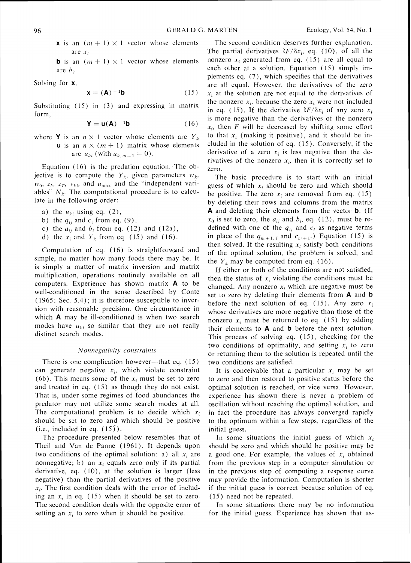**x** is an  $(m + 1) \times 1$  vector whose elements are  $x_i$ 

**b** is an  $(m + 1) \times 1$  vector whose elements are *h,.* 

Solving for **x**,

$$
\mathbf{x} = (\mathbf{A})^{-1} \mathbf{b} \tag{15}
$$

Substituting (15) in (3) and expressing in matrix form.

$$
\mathbf{Y} = \mathbf{u}(\mathbf{A})^{-1}\mathbf{b} \tag{16}
$$

where **Y** is an  $n \times 1$  vector whose elements are  $Y_k$ **u** is an  $n \times (m + 1)$  matrix whose elements are  $u_{ki}$  (with  $u_{k,m+1} = 0$ ).

Equation (16) is the predation equation. The objective is to compute the  $Y_k$ , given parameters  $w_k$ ,  $w_0$ ,  $z_k$ ,  $z_T$ ,  $v_{ki}$ , and  $u_{max}$  and the "independent variables"  $N_k$ . The computational procedure is to calculate in the following order:

- a) the  $u_{ki}$  using eq. (2),
- b) the  $q_{ii}$  and  $c_i$  from eq. (9),
- c) the  $a_{ij}$  and  $b_i$  from eq. (12) and (12a),
- d) the  $x_i$  and  $Y_k$  from eq. (15) and (16).

Computation of eq.  $(16)$  is straightforward and simple. no matter how many foods there may be. It is simply a matter of matrix inversion and matrix multiplication, operations routinely available on all computers. Experience has shown matrix **A** to be well-conditioned in the sense described by Conte ( 1965: Sec. 5.4) ; it is therefore susceptible to inversion with reasonable precision. One circumstance in which **A** may be ill-conditioned is when two search modes have  $u_{ki}$  so similar that they are not really distinct search modes.

## Nonnegativity constraints

There is one complication however--that eq.  $(15)$ can generate negative  $x_i$ , which violate constraint (6b). This means some of the  $x_i$  must be set to zero and treated in eq. (15) as though they do not exist. That is, under some regimes of food abundances the predator may not utilize some search modes at all. The computational problem is to decide which  $x_i$ should be set to zero and which should be positive  $(i.e., included in eq. (15)).$ 

The procedure presented below resembles that of Theil and Van de Panne (1961). It depends upon two conditions of the optimal solution: a) all  $x_i$  are nonnegative; b) an  $x_i$  equals zero only if its partial derivative, eq. (10). at the solution is larger (less negative) than the partial derivatives of the positive  $x_i$ . The first condition deals with the error of including an  $x_i$  in eq. (15) when it should be set to zero. The second condition deals with the opposite error of setting an  $x_i$  to zero when it should be positive.

The second condition deserves further explanation. The partial derivatives  $\delta F/\delta x_i$ , eq. (10), of all the nonzero  $x_i$  generated from eq. (15) are all equal to each other at a solution. Equation (15) simply implements eq. *(7),*which specifies that the derivatives are all equal. However, the derivatives of the zero  $x_i$  at the solution are not equal to the derivatives of the nonzero  $x_i$ , because the zero  $x_i$  were not included in eq. (15). If the derivative  $\delta F/\delta x_i$  of any zero  $x_i$ is more negative than the derivatives of the nonzero  $x_i$ , then *F* will be decreased by shifting some effort to that  $x_i$  (making it positive), and it should be included in the solution of eq. (15). Conversely, if the derivative of a zero  $x_i$  is less negative than the derivatives of the nonzero  $x_i$ , then it is correctly set to zero.

The basic procedure is to start with an initial guess of which  $x_i$  should be zero and which should be positive. The zero  $x_i$  are removed from eq. (15) by deleting their rows and columns from the matrix A and deleting their elements from the vector **b.** (If  $x_0$  is set to zero, the  $a_{ij}$  and  $b_i$ , eq. (12), must be redefined with one of the  $q_{ij}$  and  $c_i$  as negative terms in place of the  $q_{m+1,j}$  and  $c_{m+1}$ .) Equation (15) is then solved. If the resulting  $x_i$  satisfy both conditions of the optimal solution, the problem is solved, and the  $Y_k$  may be computed from eq. (16).

If either or both of the conditions are not satisfied, then the status of  $x_i$  violating the conditions must be changed. Any nonzero  $x_i$  which are negative must be set to zero by deleting their elements from **A** and b before the next solution of eq.  $(15)$ . Any zero  $x_i$ whose derivatives are more negative than those of the nonzero  $x_i$  must be returned to eq. (15) by adding their elements to **A** and **b** before the next solution. This process of solving eq. (15). checking for the two conditions of optimality, and setting  $x_i$  to zero or returning them to the solution is repeated until the two conditions are satisfied.

It is conceivable that a particular  $x_i$  may be set to zero and then restored to positive status before the optimal solution is reached, or vice versa. However. experience has shown there is never a problem of oscillation without reaching the optimal solution, and in fact the procedure has always converged rapidly to the optimum within a few steps, regardless of the initial guess.

In some situations the initial guess of which  $x_i$ should be zero and which should be positive may be a good one. For example, the values of  $x_i$  obtained from the previous step in a computer simulation or in the previous step of computing a response curve may provide the information. Computation is shorter if the initial guess is correct because solution of eq. (15) need not be repeated.

In some situations there may be no information for the initial guess. Experience has shown that as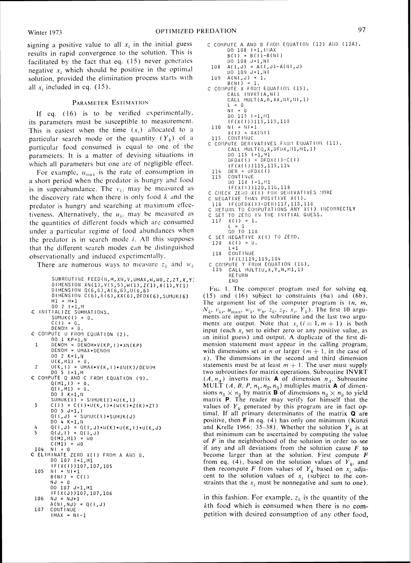signing a positive value to all  $x_i$  in the initial guess results in rapid convergence to the solution. This is facilitated by the fact that eq. (15) never generates negative  $x_i$  which should be positive in the optimal solution, provided the elimination process starts with all  $x_i$  included in eq. (15).

#### PARAMETER ESTIMATION

If eq.  $(16)$  is to be verified experimentally, its parameters must be susceptible to measurement. This is easiest when the time  $(x_i)$  allocated to a particular search mode or the quantity  $(Y_k)$  of a particular food consumed is equal to one of the parameters. It is a matter of devising situations in which all parameters but one are of negligible effect.

For example,  $u_{\text{max}}$  is the rate of consumption in a short period when the predator is hungry and food is in superabundance. The  $v_{ki}$  may be measured as the discovery rate when there is only food  $k$  and the predator is hungry and searching at maximum effectiveness. Alternatively, the  $u_{ki}$  may be measured as the quantities of different foods which are consumed under a particular regime of food abundances when the predator is in search mode  $i$ . All this supposes that the different search modes can be distinguished observationally and induced experimentally.

There are numerous ways to measure  $z_k$  and  $w_k$ 

```
SUBROUTINE FEED(N, M, XN, V, UMAX, W, WO, Z, ZT, X, Y)
         DIMENSION XN(1),V(5,5),W(1),Z(1),X(1),Y<br>DIMENSION Q(6,6),A(6,6),U(6,6)
        DIMENSION C(6), B(6), XX(6), DFDX(6), SUMUK(6)
M1 = M+1<br>DO 2 I=1,M<br>C INITIALIZE SUMMATIONS.<br>SUMUK(I) = 0.
        C(1) = 0.DENOM = 0.C COMPUTE U FROM EQUATION (2).
         DO 1 KP=l,N 

 1 DENOM = DENOM+V(KP, I) * XN(KP)
         DENOM = UMAX+DENOM
        DO 2 K=1, N
U(K,MI) = 0.<br>2 U(K,I) = UMAX*V(K,I)*XN(K)/DENOM<br>C COMPUTE Q AND C FROM EQUATION (9).
        Q(M1,1) = 0.Q(1, M1) = 0.<br>
DO 3 K=1, N<br>
SUMUK(1) = SUMUK(1)+U(K,1)
 \overline{\mathbf{3}}C(1) = C(1)+U(K,1)*(W(K)*Z(K)+ZT)005J=1,1<br>Q(1,J) = SUMUK(1)*SUMUK(J)DO 4 K=1,N
 4 Q(1, J) = Q(1, J) + W(K) * U(K, I) * U(K, J)<br>
S = Q(J, I) = Q(I, J)<br>
Q(M1, M1) = W0C(M1) = W0104 NI = 0
C ELIMINATE ZERO X(I) FROM A AND B.<br>DO 107 I=1,M1
         IF(X( I) )107,107,105 

 105 NI = NI+1
         B(N1) = C(1)NJ = 0 

        IF(X(J))107,107,106106
        NJ = NJ+1A(NI,NJ) = Q(I,J) 

107 CDIiT l NUE 

        IMAX = NI-1
```

```
DO 108 1=1, 1:AX 
       B(1) = B(1) - B(N1)00 108 J=l,NI 
 108 A(I,J) =A(I,J)-A(;lI,J) 

        LIO 109 J=l,til 

109 A(NI,J) = 1.<br>B(NI) = 1.<br>C COMPUTE X FROM EQUATION (15).
        CALL INVRI(A,NI)<br>CALL MULT(A,B,XX,NI,NI,
       L = 0N1 = 0DO 113 1=1, M1
        IF(X( 1))113,113,110 

 110 NI = NI+1
        X(1) = XX(N)113 CONTINUE<br>C COMPUTE DERIVATIVES FROM EQUATION (11).
        CALL MULT(Q,X,DFDX,M1,M1,1)
        DO 115 1=1,'11 
DFDX(I) - 2FDI(I)-C(I) 
        IF(X(1))115,115,114114 DER = DFDX(1)<br>115 CONTINUE
       CONTINUE
        DO 118 I=1, M1
DO II8 TEL,MI<br>IF(X(1))120,116,118<br>C CHECK ZERO X(I) FOR DERIVATIVES MORE
C NEGATIVE THAN POSITIVE X(1).<br>116 IF(DFDX(1)-DER)117,118,1
TI6 TF(DFDA(T)-DER)IIT,IIS,IIS<br>C RETURN TO COMPUTATIONS ANY X(I) INCORRECTLY
C SET TO ZERO IN THE INITIAL GUESS.
 117 \times (1) = 1.L = 1 
GO TO 11s 
C SET NEGATIVE X(I) TO ZERO.
 120 X(1) = 0.<br>1 = 1118 CONTINUE
        IF(L)119,119,104 
C COMPUTE Y FROM EQUATION (16).
       CALL MULT(U,X,Y,N,M1,1)RETURN 
        END
```
C COMPUTE A AND B FROM EQUATION (12) AND (12A).

F<sub>IG</sub>. 1. The computer program used for solving eq. (15) and (16) subject to constraints (6a) and (6b). The argument list of the computer program is  $(n, m,$  $N_k$ ,  $v_{ki}$ ,  $u_{max}$ ,  $w_k$ ,  $w_0$ ,  $z_k$ ,  $z_T$ ,  $x_i$ ,  $Y_k$ ). The first 10 arguments are input to the subroutine and the last two arguments are output. Note that  $x_i$  ( $i = 1, m + 1$ ) is both input (each  $x_i$  set to either zero or any positive value, as an initial guess) and output. A duplicate of the first dimension statement must appear in the calling program, with dimensions set at *n* or larger  $(m + 1)$ , in the case of  $x$ ). The dimensions in the second and third dimension statements must be at least  $m + 1$ . The user must supply two subroutines for matrix operations. Subroutine INVRT  $(A, n_A)$  inverts matrix **A** of dimension  $n_A$ . Subroutine MULT  $(A, B, P, n_1, n_2, n_3)$  multiples matrix **A** of dimensions  $n_1 \times n_2$  by matrix **B** of dimensions  $n_2 \times n_3$  to yield matrix P. The reader may verify for himself that the values of  $Y_k$  generated by this program are in fact optimal. If all primary determinants of the matrix **Q** are positive, then **F** in eq. (4) has only one minimum (Kunzi and Krelle 1966: 35–38). Whether the solution  $Y_k$  is at that minimum can be ascertained by computing the value of  $F$  in the neighborhood of the solution in order to see if any and all deviations from the solution cause  $F$  to become larger than at the solution. First compute  $F$ from eq. (4), based on the solution values of  $Y_k$ , and then recompute F from values of  $Y_k$  based on  $x_i$  adjacent to the solution values of  $x_i$  (subject to the constraints that the  $x_i$  must be nonnegative and sum to one).

in this fashion. For example,  $z_k$  is the quantity of the kth food which is consumed when there is no competition with desired consumption of any other food,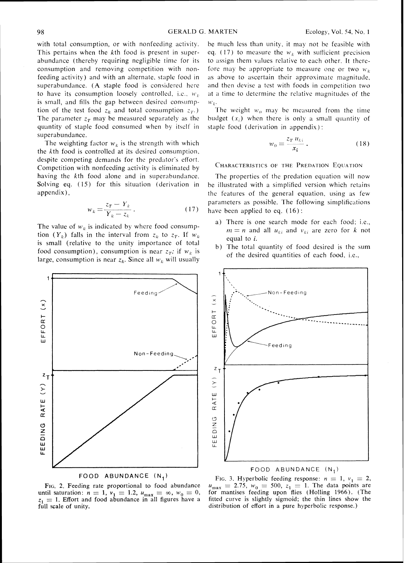with total consumption, or with nonfeeding activity. This pertains when the kth food is present in superabundance (thereby requiring negligible time for its consumption and removing competition with non $fending activity)$  and with an alternate, staple food in superabundance. (A staple food is considered here to have its consumption loosely controlled, i.e.,  $w_k$ is small, and fills the gap between desired consumption of the test food  $z_k$  and total consumption  $z_T$ .) The parameter  $z_T$  may be measured separately as the quantity of staple food consumed when by itself in superabundance.

The weighting factor  $w_k$  is the strength with which the  $k$ th food is controlled at its desired consumption, despite competing demands for the predator's effort. Competition with nonfeeding activity is eliminated by having the  $k$ th food alone and in superabundance. Solving eq. (15) for this situation (derivation in appendix),

$$
v_k = \frac{z_T - Y_k}{Y_k - z_k} \,. \tag{17}
$$

The value of  $w_k$  is indicated by where food consumption  $(Y_k)$  falls in the interval from  $z_k$  to  $z_T$ . If  $w_k$ is small (relative to the unity importance of total food consumption), consumption is near  $z_T$ ; if  $w_k$  is large, consumption is near  $z_k$ . Since all  $w_k$  will usually



The weight  $w_0$  may be measured from the time budget  $(x<sub>i</sub>)$  when there is only a small quantity of staple food (derivation in appendix) :

$$
w_0 = \frac{z_T u_{ki}}{x_i} \,. \tag{18}
$$

## CHARACTERISTICS OF THE PREDATION EQUATION

The properties of the predation equation will now be illustrated with a simplified version which retains the features of the general equation, using as few parameters as possible. The following simplifications have been applied to eq. (16):

- a) There is one search mode for each food: i.e.,  $m = n$  and all  $u_{ki}$  and  $v_{ki}$  are zero for *k* not equal to i.
- b) The total quantity of food desired is the sum of the desired quantities of each food, i.e..



FIG. **2.** Feeding rate proportional to food abundance until saturation:  $n = 1$ ,  $v_1 = 1.2$ ,  $u_{\text{max}} = \infty$ ,  $w_0 = 0$ ,  $z_1 = 1$ . Effort and food abundance in all figures have a full scale of unity.



## FOOD ABUNDANCE (N,)

FIG. 3. Hyperbolic feeding response:  $n = 1$ ,  $v_1 = 2$ , FIG. 5. Hyperbolic leeding response:  $n = 1$ ,  $v_1 = 2$ ,<br> $u_{\text{max}} = 2.75$ ,  $w_0 = 500$ ,  $z_1 = 1$ . The data points are for mantises feeding upon flies (Holling 1966). (The fitted curve is slightly sigmoid; the thin lines show the distribution of effort in a pure hyperbolic response.)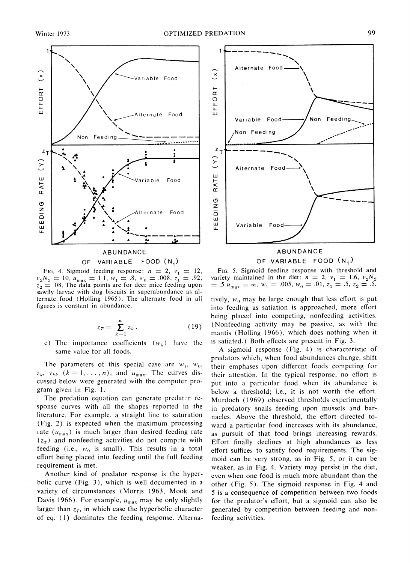

OF VARIABLE FOOD (N.)

 $v_2N_2 = 10$ ,  $u_{\text{max}} = 1.1$ ,  $w_1 = .8$ ,  $w_0 = .008$ ,  $z_1 = .92$ ,  $z_2 = .08$ . The data points are for deer mice feeding upon sawfly larvae with dog biscuits in superabundance as alternate food (Holling 1965). The alternate food in all ternate food (Holling 1965). The alternate food in all tively,  $w_0$  may be large enough that less effort is put figures is constant in abundance.

$$
z_T = \sum_{k=1}^n z_k \,. \tag{19}
$$

c) The importance coefficients  $(w_k)$  have the is satiated.) Both effects are present in Fig. 3.

 $z_k$ ,  $v_{kk}$  ( $k = 1, \ldots, n$ ), and  $u_{\text{max}}$ . The curves dis-<br>cussed below were generated with the computer pro-<br>put into a particular food when its abundance is cussed below were generated with the computer pro-<br>gram given in Fig. 1.<br>helow a threshold: i.e., it is not worth the effort

The predation equation can generate predator re-<br>sponse curves with all the shapes reported in the  $\frac{1}{2}$  predatory snails feeding upon mussels and barsponse curves with all the shapes reported in the in predatory snails feeding upon mussels and bar-<br>literature. For example, a straight line to saturation packed Above the threshold the effort directed toliterature. For example, a straight line to saturation  $\mu$  nacles. Above the threshold, the effort directed to- $\mu$  (Fig. 2) is expected when the maximum processing ward a particular food increases with its abundance (Fig. 2) is expected when the maximum processing ward a particular food increases with its abundance, rate  $(u_{\text{max}})$  is much larger than desired feeding rate as pursuit of that food brings increasing rewards. rate ( $u_{\text{max}}$ ) is much larger than desired feeding rate as pursuit of that food brings increasing rewards.<br>( $z_T$ ) and nonfeeding activities do not compete with Fffort finally declines at high abundances as less  $(z_T)$  and nonfeeding activities do not compete with Effort finally declines at high abundances as less feeding (i.e.,  $w_0$  is small). This results in a total effort suffices to satisfy food requirements. The sigfeeding (i.e.,  $w_0$  is small). This results in a total effort suffices to satisfy food requirements. The sig-<br>effort being placed into feeding until the full feeding moid can be very strong, as in Fig. 5, or it can be<br>re

Another kind of predator response is the hyper- even when one food is much more abundant than the bolic curve (Fig. 3), which is well documented in a other (Fig. 5). The sigmoid response in Fig. 4 and bolic curve (Fig. 3), which is well documented in a other (Fig. 5). The sigmoid response in Fig. 4 and variety of circumstances (Morris 1963, Mook and  $\sigma$  is a consequence of competition between two foods larger than  $z_T$ , in which case the hyperbolic character generated by competition between feeding and nonof eq. (1) dominates the feeding response. Alterna- feeding activities.



FIG. 4. Sigmoid feeding response:  $n = 2$ ,  $v_1 = 12$ , FIG. 5. Sigmoid feeding response with threshold and  $N_0 = 10$ ,  $u_{\text{max}} = 1.1$ ,  $w_1 = .8$ ,  $w_0 = .008$ ,  $z_1 = .92$ , variety maintained in the diet:  $n = 2$ ,  $v_1 = 1.6$ ,  $v_2$  $\hat{u} = .5 \, u_{\text{max}} = \infty, \, w_1 = .005, \, w_0 = .01, \, z_1 = .5, \, z_2 = .5.$ 

> into feeding as satiation is approached, more effort being placed into competing, nonfeeding activities. (Nonfeeding activity may be passive, as with the mantis (Holling 1966), which does nothing when it

same value for all foods. A sigmoid response (Fig. 4) is characteristic of predators which, when food abundances change, shift The parameters of this special case are  $w_1$ ,  $w_0$ , their emphases upon different foods competing for  $z_k$ ,  $v_{kk}$   $(k = 1, ..., n)$ , and  $u_{\text{max}}$ . The curves dis-<br>their attention. In the typical response, no effort is am given in Fig. 1.<br>The predation equation can generate predator re-<br>Murdoch (1969) observed thresholds experimentally quirement is met.<br>Another kind of predator response is the hyper-<br>even when one food is much more abundant than the 5 is a consequence of competition between two foods Davis 1966). For example,  $u_{\text{max}}$  may be only slightly for the predator's effort, but a sigmoid can also be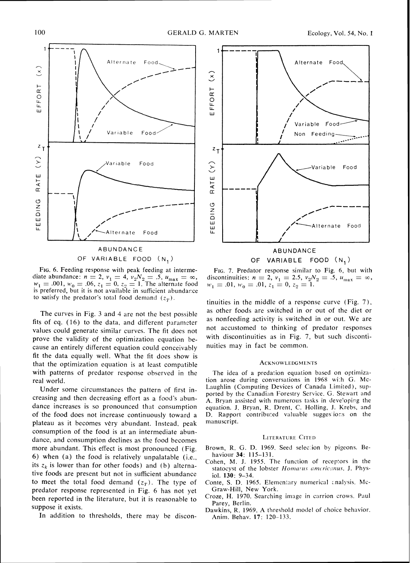

OF VARIABLE FOOD (N,)

FIG. 6. Feeding response with peak feeding at intermediate abundance:  $n = 2$ ,  $v_1 = 4$ ,  $v_2N_2 = .5$ ,  $u_{\text{max}} = \infty$ ,  $w_1 = .001, w_0 = .06, z_1 = 0, z_2 = 1$ . The alternate food is preferred, but it is not availa6le in sufficient abundarce to satisfy the predator's total food demand  $(z_T)$ .

The curves in Fig. 3 and 4 are not the best possible fits of cq. (16) to the data, and different parameter values could generate similar curves. The fit does not prove the validity of the optimization equation because an entirely different equation could conceivably fit the data cqually well. What the fit does show is that the optimization equation is at least compatible with patterns of predator response observed in the real world.

Under some circumstances the pattern of first increasing and then decreasing effort as a food's abundance increases is so pronounced that consumption of the food does not increase continuously toward a plateau as it becomes very abundant. Instead. peak consumption of the food is at an intermediate abundance, and consumption declines as the food becomes more abundant. This effect is most pronounced (Fig. 6) when (a) the food is relatively unpalatable (i.e., its  $z_k$  is lower than for other foods) and (b) alternative foods are present but not in sufficient abundancc to meet the total food demand  $(z_T)$ . The type of predator response represented in Fig. 6 has not yet been reported in the literature, but it is reasonable to suppose it exists.

In addition to thresholds, there may be discon-



OF VARIABLE FOOD (N,)

FIG. 7. Predator response similar to Fig. 6, but with discontinuities:  $n = 2$ ,  $v_1 = 2.5$ ,  $v_2N_2 = .5$ ,  $u_{max} = \infty$ ,  $w_1 = .01$ ,  $w_0 = .01$ ,  $z_1 = 0$ ,  $z_2 = 1$ .

tinuities in the middle of a response curve (Fig. 7), as other foods are switched in or out of the diet or as nonfeeding activity is switched in or out. We are not accustomed to thinking of predator responses with discontinuities as in Fig. 7, but such discontinuities may in fact be common.

#### ACKNOWLEDGMENTS

The idea of a predation equation based on optimization arose during conversations in 1968 with G. Mc-Laughlin (Computing Devices of Canada Limited), supported by the Canadian Forestry Service. G. Stewart and A. Bryan assisted with numerous tasks in developing the equation. J. Bryan, R. Drent, C. Holling, J. Krebs, and D. Rapport contributed valuable suggestions on the manuscript.

#### **LITERATURE CITED**

- Brown, R. G. D. 1969. Seed selection by pigeons. Behaviour **34:** 115-131.
- Cohen, M. J. 1955. The function of receptors in the statocyst of the lobster Homarus americanus. J. Physiol. **130:** 9-34.
- Conte, S. D. 1965. Elementary numerical analysis. Mc-Graw-Hill, New York.
- Croze, H. 1970. Searching image in carrion crows. Paul Parey, Berlin.
- Dawkins, R. 1969. A threshold model of choice behavior. Anim. Behav. **17:** 120-133.